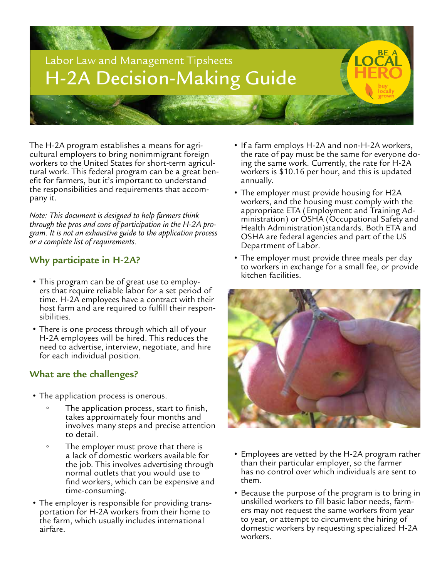

The H-2A program establishes a means for agri- cultural employers to bring nonimmigrant foreign workers to the United States for short-term agricul-<br>tural work. This federal program can be a great ben-<br>efit for farmers, but it's important to understand the responsibilities and requirements that accom- pany it.

*Note: This document is designed to help farmers think through the pros and cons of participation in the H-2A pro- gram. It is not an exhaustive guide to the application process or a complete list of requirements.* 

## **Why participate in H-2A?**

- This program can be of great use to employ- ers that require reliable labor for a set period of time. H-2A employees have a contract with their host farm and are required to fulfill their respon- sibilities.
- There is one process through which all of your H-2A employees will be hired. This reduces the need to advertise, interview, negotiate, and hire for each individual position.

## **What are the challenges?**

- The application process is onerous.
	- The application process, start to finish, takes approximately four months and involves many steps and precise attention to detail.
	- The employer must prove that there is a lack of domestic workers available for the job. This involves advertising through normal outlets that you would use to find workers, which can be expensive and time-consuming.
- The employer is responsible for providing trans- portation for H-2A workers from their home to the farm, which usually includes international airfare.
- If a farm employs H-2A and non-H-2A workers, the rate of pay must be the same for everyone do- ing the same work. Currently, the rate for H-2A workers is \$10.16 per hour, and this is updated annually.
- The employer must provide housing for H2A workers, and the housing must comply with the ministration) or OSHA (Occupational Safety and Health Administration)standards. Both ETA and OSHA are federal agencies and part of the US Department of Labor.
- The employer must provide three meals per day to workers in exchange for a small fee, or provide kitchen facilities.



- Employees are vetted by the H-2A program rather than their particular employer, so the farmer has no control over which individuals are sent to them.
- Because the purpose of the program is to bring in unskilled workers to fill basic labor needs, farm- ers may not request the same workers from year to year, or attempt to circumvent the hiring of domestic workers by requesting specialized H-2A workers.